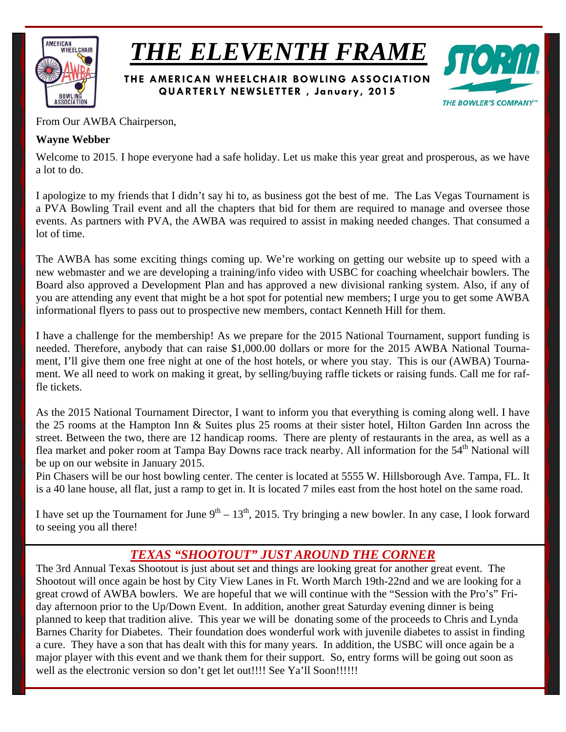

*THE ELEVENTH FRAME*

**THE AMERICAN WHEELCHAIR BOWLING ASSOCIATION QUARTERLY NEWSLETTER , January, 2015** 



From Our AWBA Chairperson,

## **Wayne Webber**

Welcome to 2015. I hope everyone had a safe holiday. Let us make this year great and prosperous, as we have a lot to do.

I apologize to my friends that I didn't say hi to, as business got the best of me. The Las Vegas Tournament is a PVA Bowling Trail event and all the chapters that bid for them are required to manage and oversee those events. As partners with PVA, the AWBA was required to assist in making needed changes. That consumed a lot of time.

The AWBA has some exciting things coming up. We're working on getting our website up to speed with a new webmaster and we are developing a training/info video with USBC for coaching wheelchair bowlers. The Board also approved a Development Plan and has approved a new divisional ranking system. Also, if any of you are attending any event that might be a hot spot for potential new members; I urge you to get some AWBA informational flyers to pass out to prospective new members, contact Kenneth Hill for them.

I have a challenge for the membership! As we prepare for the 2015 National Tournament, support funding is needed. Therefore, anybody that can raise \$1,000.00 dollars or more for the 2015 AWBA National Tournament, I'll give them one free night at one of the host hotels, or where you stay. This is our (AWBA) Tournament. We all need to work on making it great, by selling/buying raffle tickets or raising funds. Call me for raffle tickets.

As the 2015 National Tournament Director, I want to inform you that everything is coming along well. I have the 25 rooms at the Hampton Inn & Suites plus 25 rooms at their sister hotel, Hilton Garden Inn across the street. Between the two, there are 12 handicap rooms. There are plenty of restaurants in the area, as well as a flea market and poker room at Tampa Bay Downs race track nearby. All information for the 54<sup>th</sup> National will be up on our website in January 2015.

Pin Chasers will be our host bowling center. The center is located at 5555 W. Hillsborough Ave. Tampa, FL. It is a 40 lane house, all flat, just a ramp to get in. It is located 7 miles east from the host hotel on the same road.

I have set up the Tournament for June  $9^{th} - 13^{th}$ , 2015. Try bringing a new bowler. In any case, I look forward to seeing you all there!

# *TEXAS "SHOOTOUT" JUST AROUND THE CORNER*

The 3rd Annual Texas Shootout is just about set and things are looking great for another great event. The Shootout will once again be host by City View Lanes in Ft. Worth March 19th-22nd and we are looking for a great crowd of AWBA bowlers. We are hopeful that we will continue with the "Session with the Pro's" Friday afternoon prior to the Up/Down Event. In addition, another great Saturday evening dinner is being planned to keep that tradition alive. This year we will be donating some of the proceeds to Chris and Lynda Barnes Charity for Diabetes. Their foundation does wonderful work with juvenile diabetes to assist in finding a cure. They have a son that has dealt with this for many years. In addition, the USBC will once again be a major player with this event and we thank them for their support. So, entry forms will be going out soon as well as the electronic version so don't get let out!!!! See Ya'll Soon!!!!!!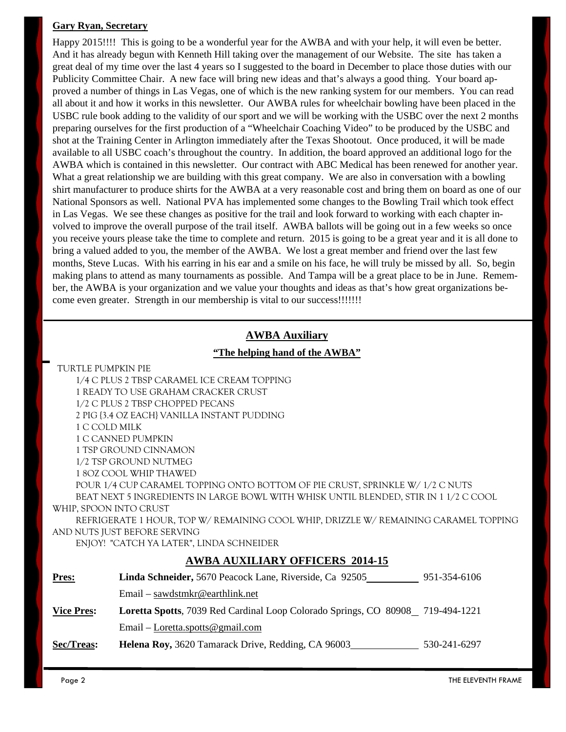### **Gary Ryan, Secretary**

Happy 2015!!!! This is going to be a wonderful year for the AWBA and with your help, it will even be better. And it has already begun with Kenneth Hill taking over the management of our Website. The site has taken a great deal of my time over the last 4 years so I suggested to the board in December to place those duties with our Publicity Committee Chair. A new face will bring new ideas and that's always a good thing. Your board approved a number of things in Las Vegas, one of which is the new ranking system for our members. You can read all about it and how it works in this newsletter. Our AWBA rules for wheelchair bowling have been placed in the USBC rule book adding to the validity of our sport and we will be working with the USBC over the next 2 months preparing ourselves for the first production of a "Wheelchair Coaching Video" to be produced by the USBC and shot at the Training Center in Arlington immediately after the Texas Shootout. Once produced, it will be made available to all USBC coach's throughout the country. In addition, the board approved an additional logo for the AWBA which is contained in this newsletter. Our contract with ABC Medical has been renewed for another year. What a great relationship we are building with this great company. We are also in conversation with a bowling shirt manufacturer to produce shirts for the AWBA at a very reasonable cost and bring them on board as one of our National Sponsors as well. National PVA has implemented some changes to the Bowling Trail which took effect in Las Vegas. We see these changes as positive for the trail and look forward to working with each chapter involved to improve the overall purpose of the trail itself. AWBA ballots will be going out in a few weeks so once you receive yours please take the time to complete and return. 2015 is going to be a great year and it is all done to bring a valued added to you, the member of the AWBA. We lost a great member and friend over the last few months, Steve Lucas. With his earring in his ear and a smile on his face, he will truly be missed by all. So, begin making plans to attend as many tournaments as possible. And Tampa will be a great place to be in June. Remember, the AWBA is your organization and we value your thoughts and ideas as that's how great organizations become even greater. Strength in our membership is vital to our success!!!!!!!

### **AWBA Auxiliary**

#### **"The helping hand of the AWBA"**

TURTLE PUMPKIN PIE

1/4 C PLUS 2 TBSP CARAMEL ICE CREAM TOPPING

1 READY TO USE GRAHAM CRACKER CRUST

1/2 C PLUS 2 TBSP CHOPPED PECANS

2 PIG {3.4 OZ EACH} VANILLA INSTANT PUDDING

1 C COLD MILK

1 C CANNED PUMPKIN

1 TSP GROUND CINNAMON

1/2 TSP GROUND NUTMEG

1 8OZ COOL WHIP THAWED

 POUR 1/4 CUP CARAMEL TOPPING ONTO BOTTOM OF PIE CRUST, SPRINKLE W/ 1/2 C NUTS BEAT NEXT 5 INGREDIENTS IN LARGE BOWL WITH WHISK UNTIL BLENDED, STIR IN 1 1/2 C COOL

## WHIP, SPOON INTO CRUST

 REFRIGERATE 1 HOUR, TOP W/ REMAINING COOL WHIP, DRIZZLE W/ REMAINING CARAMEL TOPPING AND NUTS JUST BEFORE SERVING

ENJOY! "CATCH YA LATER", LINDA SCHNEIDER

### **AWBA AUXILIARY OFFICERS 2014-15**

| <u>Pres:</u>      | Linda Schneider, 5670 Peacock Lane, Riverside, Ca 92505                        | 951-354-6106 |
|-------------------|--------------------------------------------------------------------------------|--------------|
|                   | $Email - sawdstmkr@earthlink.net$                                              |              |
| <b>Vice Pres:</b> | Loretta Spotts, 7039 Red Cardinal Loop Colorado Springs, CO 80908 719-494-1221 |              |
|                   | Email – Loretta.spotts@gmail.com                                               |              |
| Sec/Treas:        | Helena Roy, 3620 Tamarack Drive, Redding, CA 96003                             | 530-241-6297 |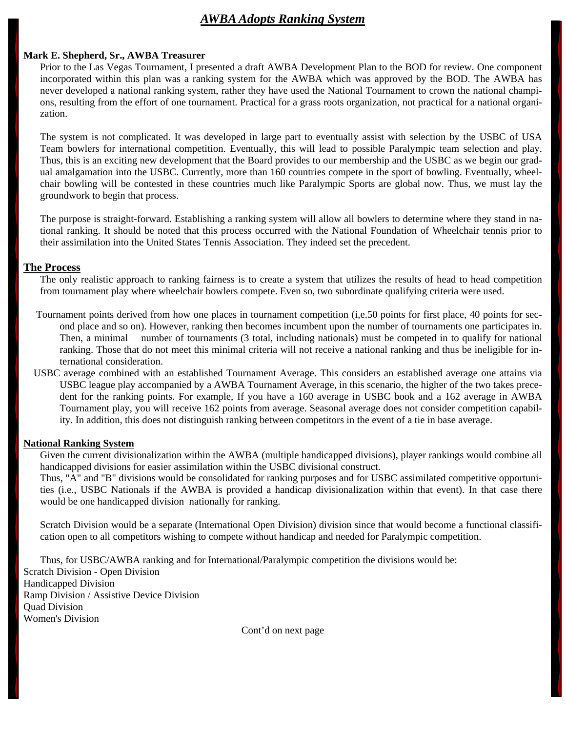## *AWBA Adopts Ranking System*

#### **Mark E. Shepherd, Sr., AWBA Treasurer**

Prior to the Las Vegas Tournament, I presented a draft AWBA Development Plan to the BOD for review. One component incorporated within this plan was a ranking system for the AWBA which was approved by the BOD. The AWBA has never developed a national ranking system, rather they have used the National Tournament to crown the national champions, resulting from the effort of one tournament. Practical for a grass roots organization, not practical for a national organization.

 The system is not complicated. It was developed in large part to eventually assist with selection by the USBC of USA Team bowlers for international competition. Eventually, this will lead to possible Paralympic team selection and play. Thus, this is an exciting new development that the Board provides to our membership and the USBC as we begin our gradual amalgamation into the USBC. Currently, more than 160 countries compete in the sport of bowling. Eventually, wheelchair bowling will be contested in these countries much like Paralympic Sports are global now. Thus, we must lay the groundwork to begin that process.

 The purpose is straight-forward. Establishing a ranking system will allow all bowlers to determine where they stand in national ranking. It should be noted that this process occurred with the National Foundation of Wheelchair tennis prior to their assimilation into the United States Tennis Association. They indeed set the precedent.

#### **The Process**

The only realistic approach to ranking fairness is to create a system that utilizes the results of head to head competition from tournament play where wheelchair bowlers compete. Even so, two subordinate qualifying criteria were used.

- Tournament points derived from how one places in tournament competition (i,e.50 points for first place, 40 points for second place and so on). However, ranking then becomes incumbent upon the number of tournaments one participates in. Then, a minimal number of tournaments (3 total, including nationals) must be competed in to qualify for national ranking. Those that do not meet this minimal criteria will not receive a national ranking and thus be ineligible for international consideration.
- USBC average combined with an established Tournament Average. This considers an established average one attains via USBC league play accompanied by a AWBA Tournament Average, in this scenario, the higher of the two takes precedent for the ranking points. For example, If you have a 160 average in USBC book and a 162 average in AWBA Tournament play, you will receive 162 points from average. Seasonal average does not consider competition capability. In addition, this does not distinguish ranking between competitors in the event of a tie in base average.

#### **National Ranking System**

 Given the current divisionalization within the AWBA (multiple handicapped divisions), player rankings would combine all handicapped divisions for easier assimilation within the USBC divisional construct.

 Thus, "A" and "B" divisions would be consolidated for ranking purposes and for USBC assimilated competitive opportunities (i.e., USBC Nationals if the AWBA is provided a handicap divisionalization within that event). In that case there would be one handicapped division nationally for ranking.

 Scratch Division would be a separate (International Open Division) division since that would become a functional classification open to all competitors wishing to compete without handicap and needed for Paralympic competition.

 Thus, for USBC/AWBA ranking and for International/Paralympic competition the divisions would be: Scratch Division - Open Division Handicapped Division Ramp Division / Assistive Device Division Quad Division Women's Division

Cont'd on next page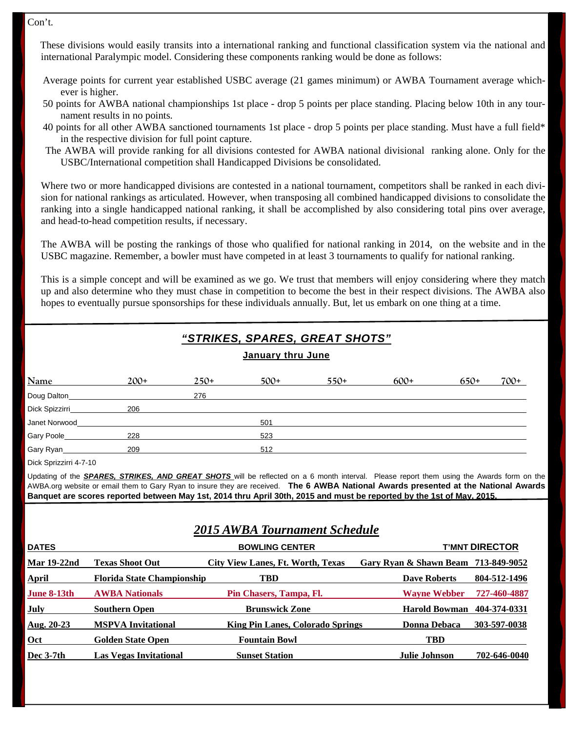Con't.

 These divisions would easily transits into a international ranking and functional classification system via the national and international Paralympic model. Considering these components ranking would be done as follows:

- Average points for current year established USBC average (21 games minimum) or AWBA Tournament average whichever is higher.
- 50 points for AWBA national championships 1st place drop 5 points per place standing. Placing below 10th in any tournament results in no points.
- 40 points for all other AWBA sanctioned tournaments 1st place drop 5 points per place standing. Must have a full field\* in the respective division for full point capture.
- The AWBA will provide ranking for all divisions contested for AWBA national divisional ranking alone. Only for the USBC/International competition shall Handicapped Divisions be consolidated.

 Where two or more handicapped divisions are contested in a national tournament, competitors shall be ranked in each division for national rankings as articulated. However, when transposing all combined handicapped divisions to consolidate the ranking into a single handicapped national ranking, it shall be accomplished by also considering total pins over average, and head-to-head competition results, if necessary.

 The AWBA will be posting the rankings of those who qualified for national ranking in 2014, on the website and in the USBC magazine. Remember, a bowler must have competed in at least 3 tournaments to qualify for national ranking.

 This is a simple concept and will be examined as we go. We trust that members will enjoy considering where they match up and also determine who they must chase in competition to become the best in their respect divisions. The AWBA also hopes to eventually pursue sponsorships for these individuals annually. But, let us embark on one thing at a time.

| "STRIKES, SPARES, GREAT SHOTS"<br>January thru June |        |        |        |        |        |        |        |
|-----------------------------------------------------|--------|--------|--------|--------|--------|--------|--------|
| <b>Name</b>                                         | $200+$ | $250+$ | $500+$ | $550+$ | $600+$ | $650+$ | $700+$ |
| Doug Dalton                                         |        | 276    |        |        |        |        |        |
| Dick Spizzirri                                      | 206    |        |        |        |        |        |        |
| Janet Norwood                                       |        |        | 501    |        |        |        |        |
| Gary Poole_                                         | 228    |        | 523    |        |        |        |        |
| Gary Ryan                                           | 209    |        | 512    |        |        |        |        |

Dick Sprizzirri 4-7-10

Updating of the *SPARES, STRIKES, AND GREAT SHOTS* will be reflected on a 6 month interval. Please report them using the Awards form on the AWBA.org website or email them to Gary Ryan to insure they are received. **The 6 AWBA National Awards presented at the National Awards Banquet are scores reported between May 1st, 2014 thru April 30th, 2015 and must be reported by the 1st of May, 2015.**

## *2015 AWBA Tournament Schedule*

| <b>DATES</b>       |                                   | <b>BOWLING CENTER</b>                    |                                     | <b>T'MNT DIRECTOR</b> |
|--------------------|-----------------------------------|------------------------------------------|-------------------------------------|-----------------------|
| <b>Mar 19-22nd</b> | <b>Texas Shoot Out</b>            | <b>City View Lanes, Ft. Worth, Texas</b> | Gary Ryan & Shawn Beam 713-849-9052 |                       |
| <b>April</b>       | <b>Florida State Championship</b> | TBD                                      | <b>Dave Roberts</b>                 | 804-512-1496          |
| June 8-13th        | <b>AWBA Nationals</b>             | Pin Chasers, Tampa, Fl.                  | <b>Wayne Webber</b>                 | 727-460-4887          |
| July               | <b>Southern Open</b>              | <b>Brunswick Zone</b>                    | <b>Harold Bowman</b>                | 404-374-0331          |
| Aug. $20-23$       | <b>MSPVA Invitational</b>         | <b>King Pin Lanes, Colorado Springs</b>  | <b>Donna Debaca</b>                 | 303-597-0038          |
| Oct                | <b>Golden State Open</b>          | <b>Fountain Bowl</b>                     | <b>TBD</b>                          |                       |
| Dec $3-7th$        | <b>Las Vegas Invitational</b>     | <b>Sunset Station</b>                    | <b>Julie Johnson</b>                | 702-646-0040          |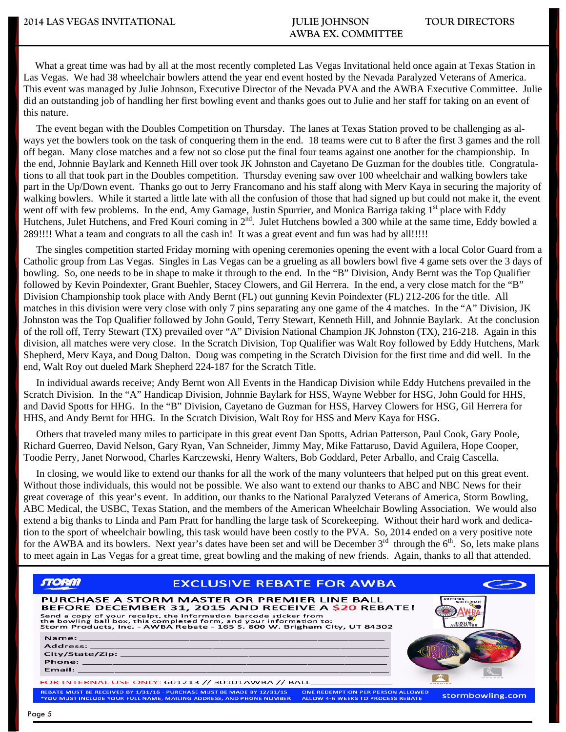What a great time was had by all at the most recently completed Las Vegas Invitational held once again at Texas Station in Las Vegas. We had 38 wheelchair bowlers attend the year end event hosted by the Nevada Paralyzed Veterans of America. This event was managed by Julie Johnson, Executive Director of the Nevada PVA and the AWBA Executive Committee. Julie did an outstanding job of handling her first bowling event and thanks goes out to Julie and her staff for taking on an event of this nature.

 The event began with the Doubles Competition on Thursday. The lanes at Texas Station proved to be challenging as always yet the bowlers took on the task of conquering them in the end. 18 teams were cut to 8 after the first 3 games and the roll off began. Many close matches and a few not so close put the final four teams against one another for the championship. In the end, Johnnie Baylark and Kenneth Hill over took JK Johnston and Cayetano De Guzman for the doubles title. Congratulations to all that took part in the Doubles competition. Thursday evening saw over 100 wheelchair and walking bowlers take part in the Up/Down event. Thanks go out to Jerry Francomano and his staff along with Merv Kaya in securing the majority of walking bowlers. While it started a little late with all the confusion of those that had signed up but could not make it, the event went off with few problems. In the end, Amy Gamage, Justin Spurrier, and Monica Barriga taking 1<sup>st</sup> place with Eddy Hutchens, Julet Hutchens, and Fred Kouri coming in 2<sup>nd</sup>. Julet Hutchens bowled a 300 while at the same time, Eddy bowled a 289!!!! What a team and congrats to all the cash in! It was a great event and fun was had by all!!!!!

 The singles competition started Friday morning with opening ceremonies opening the event with a local Color Guard from a Catholic group from Las Vegas. Singles in Las Vegas can be a grueling as all bowlers bowl five 4 game sets over the 3 days of bowling. So, one needs to be in shape to make it through to the end. In the "B" Division, Andy Bernt was the Top Qualifier followed by Kevin Poindexter, Grant Buehler, Stacey Clowers, and Gil Herrera. In the end, a very close match for the "B" Division Championship took place with Andy Bernt (FL) out gunning Kevin Poindexter (FL) 212-206 for the title. All matches in this division were very close with only 7 pins separating any one game of the 4 matches. In the "A" Division, JK Johnston was the Top Qualifier followed by John Gould, Terry Stewart, Kenneth Hill, and Johnnie Baylark. At the conclusion of the roll off, Terry Stewart (TX) prevailed over "A" Division National Champion JK Johnston (TX), 216-218. Again in this division, all matches were very close. In the Scratch Division, Top Qualifier was Walt Roy followed by Eddy Hutchens, Mark Shepherd, Merv Kaya, and Doug Dalton. Doug was competing in the Scratch Division for the first time and did well. In the end, Walt Roy out dueled Mark Shepherd 224-187 for the Scratch Title.

 In individual awards receive; Andy Bernt won All Events in the Handicap Division while Eddy Hutchens prevailed in the Scratch Division. In the "A" Handicap Division, Johnnie Baylark for HSS, Wayne Webber for HSG, John Gould for HHS, and David Spotts for HHG. In the "B" Division, Cayetano de Guzman for HSS, Harvey Clowers for HSG, Gil Herrera for HHS, and Andy Bernt for HHG. In the Scratch Division, Walt Roy for HSS and Merv Kaya for HSG.

 Others that traveled many miles to participate in this great event Dan Spotts, Adrian Patterson, Paul Cook, Gary Poole, Richard Guerreo, David Nelson, Gary Ryan, Van Schneider, Jimmy May, Mike Fattaruso, David Aguilera, Hope Cooper, Toodie Perry, Janet Norwood, Charles Karczewski, Henry Walters, Bob Goddard, Peter Arballo, and Craig Cascella.

 In closing, we would like to extend our thanks for all the work of the many volunteers that helped put on this great event. Without those individuals, this would not be possible. We also want to extend our thanks to ABC and NBC News for their great coverage of this year's event. In addition, our thanks to the National Paralyzed Veterans of America, Storm Bowling, ABC Medical, the USBC, Texas Station, and the members of the American Wheelchair Bowling Association. We would also extend a big thanks to Linda and Pam Pratt for handling the large task of Scorekeeping. Without their hard work and dedication to the sport of wheelchair bowling, this task would have been costly to the PVA. So, 2014 ended on a very positive note for the AWBA and its bowlers. Next year's dates have been set and will be December  $3<sup>rd</sup>$  through the  $6<sup>th</sup>$ . So, lets make plans to meet again in Las Vegas for a great time, great bowling and the making of new friends. Again, thanks to all that attended.

| <b>FILORIA</b> | <b>EXCLUSIVE REBATE FOR AWBA</b>                                                                                                                                                                                                                                                                                             |                                                                                      |                        |
|----------------|------------------------------------------------------------------------------------------------------------------------------------------------------------------------------------------------------------------------------------------------------------------------------------------------------------------------------|--------------------------------------------------------------------------------------|------------------------|
|                | PURCHASE A STORM MASTER OR PREMIER LINE BALL<br>BEFORE DECEMBER 31, 2015 AND RECEIVE A \$20 REBATE!<br>Send a copy of your receipt, the information barcode sticker from<br>the bowling ball box, this completed form, and your information to:<br>Storm Products, Inc. - AWBA Rebate - 165 S. 800 W. Brigham City, UT 84302 |                                                                                      | AMERICAN<br>WHEEL CHAI |
|                |                                                                                                                                                                                                                                                                                                                              |                                                                                      |                        |
|                | FOR INTERNAL USE ONLY: 601213 // 30101AWBA // BALL                                                                                                                                                                                                                                                                           |                                                                                      |                        |
|                | REBATE MUST BE RECEIVED BY 1/31/16 - PURCHASE MUST BE MADE BY 12/31/15<br>*YOU MUST INCLUDE YOUR FULL NAME, MAILING ADDRESS, AND PHONE NUMBER                                                                                                                                                                                | <b>ONE REDEMPTION PER PERSON ALLOWED</b><br><b>ALLOW 4-6 WEEKS TO PROCESS REBATE</b> | stormbowling.com       |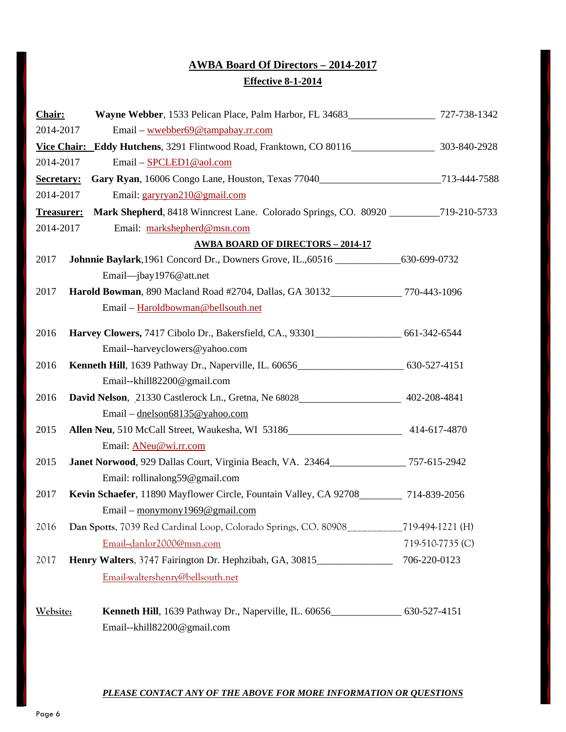## **AWBA Board Of Directors – 2014-2017 Effective 8-1-2014**

| Chair:            | Wayne Webber, 1533 Pelican Place, Palm Harbor, FL 34683 727-738-1342                             |                  |
|-------------------|--------------------------------------------------------------------------------------------------|------------------|
| 2014-2017         | Email - wwebber69@tampabay.rr.com                                                                |                  |
|                   | Vice Chair: Eddy Hutchens, 3291 Flintwood Road, Franktown, CO 80116<br>303-840-2928              |                  |
| 2014-2017         | Email - SPCLED1@aol.com                                                                          |                  |
| Secretary:        | Gary Ryan, 16006 Congo Lane, Houston, Texas 77040__________________________713-444-7588          |                  |
| 2014-2017         | Email: garyryan210@gmail.com                                                                     |                  |
| <b>Treasurer:</b> | Mark Shepherd, 8418 Winncrest Lane. Colorado Springs, CO. 80920 ___________719-210-5733          |                  |
| 2014-2017         | Email: markshepherd@msn.com                                                                      |                  |
|                   | <b>AWBA BOARD OF DIRECTORS - 2014-17</b>                                                         |                  |
| 2017              | Johnnie Baylark, 1961 Concord Dr., Downers Grove, IL., 60516 ________________630-699-0732        |                  |
|                   | Email-jbay1976@att.net                                                                           |                  |
| 2017              | Harold Bowman, 890 Macland Road #2704, Dallas, GA 30132_____________770-443-1096                 |                  |
|                   | Email - Haroldbowman@bellsouth.net                                                               |                  |
| 2016              | Harvey Clowers, 7417 Cibolo Dr., Bakersfield, CA., 93301_____________________ 661-342-6544       |                  |
|                   | Email--harveyclowers@yahoo.com                                                                   |                  |
| 2016              | Kenneth Hill, 1639 Pathway Dr., Naperville, IL. 60656___________________________ 630-527-4151    |                  |
|                   | Email--khill82200@gmail.com                                                                      |                  |
| 2016              | David Nelson, 21330 Castlerock Ln., Gretna, Ne 68028 402-208-4841                                |                  |
|                   | Email – dnelson68135@yahoo.com                                                                   |                  |
| 2015              | Allen Neu, 510 McCall Street, Waukesha, WI 53186<br>414-617-4870                                 |                  |
|                   | Email: ANeu@wi.rr.com                                                                            |                  |
| 2015              | Janet Norwood, 929 Dallas Court, Virginia Beach, VA. 23464_____________757-615-2942              |                  |
|                   | Email: rollinalong59@gmail.com                                                                   |                  |
| 2017              | Kevin Schaefer, 11890 Mayflower Circle, Fountain Valley, CA 92708__________ 714-839-2056         |                  |
|                   | Email – monymony 1969@gmail.com                                                                  |                  |
| 2016              | Dan Spotts, 7039 Red Cardinal Loop, Colorado Springs, CO. 80908_________                         | 719-494-1221 (H) |
|                   | Email-danlor2000@msn.com                                                                         | 719-510-7735 (C) |
| 2017              | Henry Walters, 3747 Fairington Dr. Hephzibah, GA, 30815                                          | 706-220-0123     |
|                   | Email-waltershenry@bellsouth.net                                                                 |                  |
| Website:          | <b>Kenneth Hill</b> , 1639 Pathway Dr., Naperville, IL. 60656_______________________630-527-4151 |                  |
|                   | Email--khill82200@gmail.com                                                                      |                  |

#### *PLEASE CONTACT ANY OF THE ABOVE FOR MORE INFORMATION OR QUESTIONS*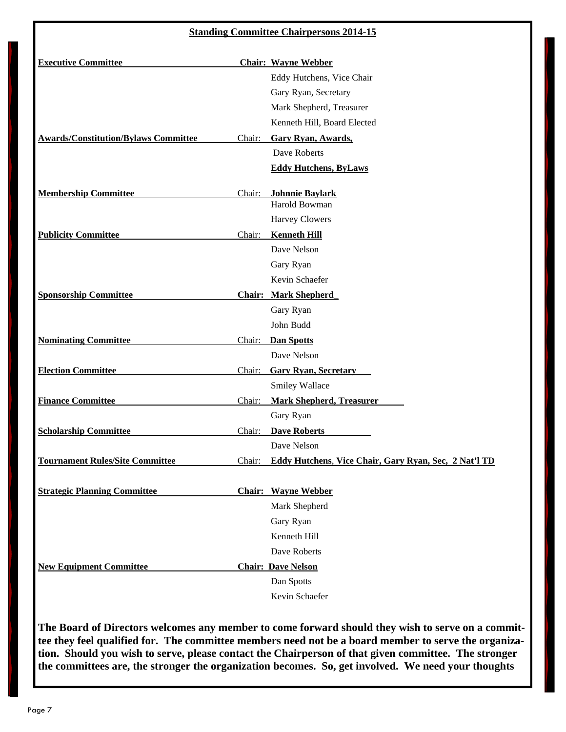### **Standing Committee Chairpersons 2014-15**

| <b>Executive Committee</b>                  |        | <b>Chair: Wayne Webber</b>                            |
|---------------------------------------------|--------|-------------------------------------------------------|
|                                             |        | Eddy Hutchens, Vice Chair                             |
|                                             |        | Gary Ryan, Secretary                                  |
|                                             |        | Mark Shepherd, Treasurer                              |
|                                             |        | Kenneth Hill, Board Elected                           |
| <b>Awards/Constitution/Bylaws Committee</b> | Chair: | <b>Gary Ryan, Awards,</b>                             |
|                                             |        | Dave Roberts                                          |
|                                             |        | <b>Eddy Hutchens, ByLaws</b>                          |
| <b>Membership Committee</b>                 | Chair: | <b>Johnnie Baylark</b>                                |
|                                             |        | Harold Bowman                                         |
|                                             |        | <b>Harvey Clowers</b>                                 |
| <b>Publicity Committee</b>                  | Chair: | <b>Kenneth Hill</b>                                   |
|                                             |        | Dave Nelson                                           |
|                                             |        | Gary Ryan                                             |
|                                             |        | Kevin Schaefer                                        |
| <b>Sponsorship Committee</b>                |        | <b>Chair: Mark Shepherd</b>                           |
|                                             |        | Gary Ryan                                             |
|                                             |        | John Budd                                             |
| <b>Nominating Committee</b>                 | Chair: | <b>Dan Spotts</b>                                     |
|                                             |        | Dave Nelson                                           |
| <b>Election Committee</b>                   | Chair: | <b>Gary Ryan, Secretary</b>                           |
|                                             |        | Smiley Wallace                                        |
| <b>Finance Committee</b>                    | Chair: | <b>Mark Shepherd, Treasurer</b>                       |
|                                             |        | Gary Ryan                                             |
| <b>Scholarship Committee</b>                | Chair: | <b>Dave Roberts</b>                                   |
|                                             |        | Dave Nelson                                           |
| <b>Tournament Rules/Site Committee</b>      | Chair: | Eddy Hutchens, Vice Chair, Gary Ryan, Sec, 2 Nat'l TD |
| <b>Strategic Planning Committee</b>         |        | <b>Chair:</b> Wayne Webber                            |
|                                             |        | Mark Shepherd                                         |
|                                             |        | Gary Ryan                                             |
|                                             |        | Kenneth Hill                                          |
|                                             |        | Dave Roberts                                          |
| <b>New Equipment Committee</b>              |        | <b>Chair: Dave Nelson</b>                             |
|                                             |        | Dan Spotts                                            |
|                                             |        | Kevin Schaefer                                        |

**The Board of Directors welcomes any member to come forward should they wish to serve on a committee they feel qualified for. The committee members need not be a board member to serve the organization. Should you wish to serve, please contact the Chairperson of that given committee. The stronger the committees are, the stronger the organization becomes. So, get involved. We need your thoughts**